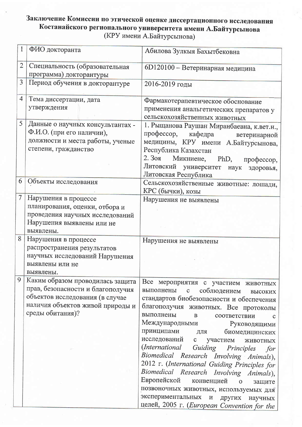## Заключение Комиссии по этической оценке диссертационного исследования Костанайского регионального университета имени А.Байтурсынова (КРУ имени А.Байтурсынова)

| $\mathbf{1}$   | ФИО докторанта                    |                                                                              |
|----------------|-----------------------------------|------------------------------------------------------------------------------|
|                |                                   | Абилова Зулкыя Бахытбековна                                                  |
| $\overline{2}$ | Специальность (образовательная    | 6D120100 - Ветеринарная медицина                                             |
|                | программа) докторантуры           |                                                                              |
| 3              | Период обучения в докторантуре    | 2016-2019 годы                                                               |
| 4              |                                   |                                                                              |
|                | Тема диссертации, дата            | Фармакотерапевтическое обоснование                                           |
|                | утверждения                       | применения анальгетических препаратов у                                      |
|                |                                   | сельскохозяйственных животных                                                |
| 5              | Данные о научных консультантах -  | 1. Рыщанова Раушан Миранбаевна, к.вет.н.,                                    |
|                | Ф.И.О. (при его наличии),         | профессор,<br>кафедра<br>ветеринарной                                        |
|                | должности и места работы, ученые  | медицины, КРУ имени А.Байтурсынова,                                          |
|                | степени, гражданство              | Республика Казахстан                                                         |
|                |                                   | 2. Зоя<br>Микниене, PhD,<br>профессор,                                       |
|                |                                   | Литовский университет наук<br>здоровья,                                      |
|                |                                   | Литовская Республика                                                         |
| 6              | Объекты исследования              | Сельскохозяйственные животные: лошади,                                       |
|                |                                   | КРС (бычки), козы                                                            |
| $\overline{7}$ | Нарушения в процессе              | Нарушения не выявлены                                                        |
|                | планирования, оценки, отбора и    |                                                                              |
|                | проведения научных исследований   |                                                                              |
|                | Нарушения выявлены или не         |                                                                              |
|                | выявлены.                         |                                                                              |
| 8              | Нарушения в процессе              |                                                                              |
|                | распространения результатов       | Нарушения не выявлены                                                        |
|                |                                   |                                                                              |
|                |                                   |                                                                              |
|                | научных исследований Нарушения    |                                                                              |
|                | выявлены или не                   |                                                                              |
|                | выявлены.                         |                                                                              |
| 9              | Каким образом проводилась защита  | Все мероприятия с участием животных                                          |
|                | прав, безопасности и благополучия | выполнены с соблюдением<br>высоких                                           |
|                | объектов исследования (в случае   | стандартов биобезопасности и обеспечения                                     |
|                | наличия объектов живой природы и  | благополучия животных. Все протоколы                                         |
|                | среды обитания)?                  | выполнены<br>$\mathbf{B}$<br>соответствии                                    |
|                |                                   | Международными Руководящими                                                  |
|                |                                   | принципами<br>биомедицинских<br>ДЛЯ                                          |
|                |                                   | исследований<br>с участием<br>ЖИВОТНЫХ                                       |
|                |                                   | (International<br>Guiding Principles<br>for                                  |
|                |                                   |                                                                              |
|                |                                   | Biomedical Research Involving Animals),                                      |
|                |                                   | 2012 r. (International Guiding Principles for                                |
|                |                                   | Biomedical Research Involving Animals),<br>Европейской                       |
|                |                                   | конвенцией о<br>защите                                                       |
|                |                                   | позвоночных животных, используемых для<br>экспериментальных и других научных |